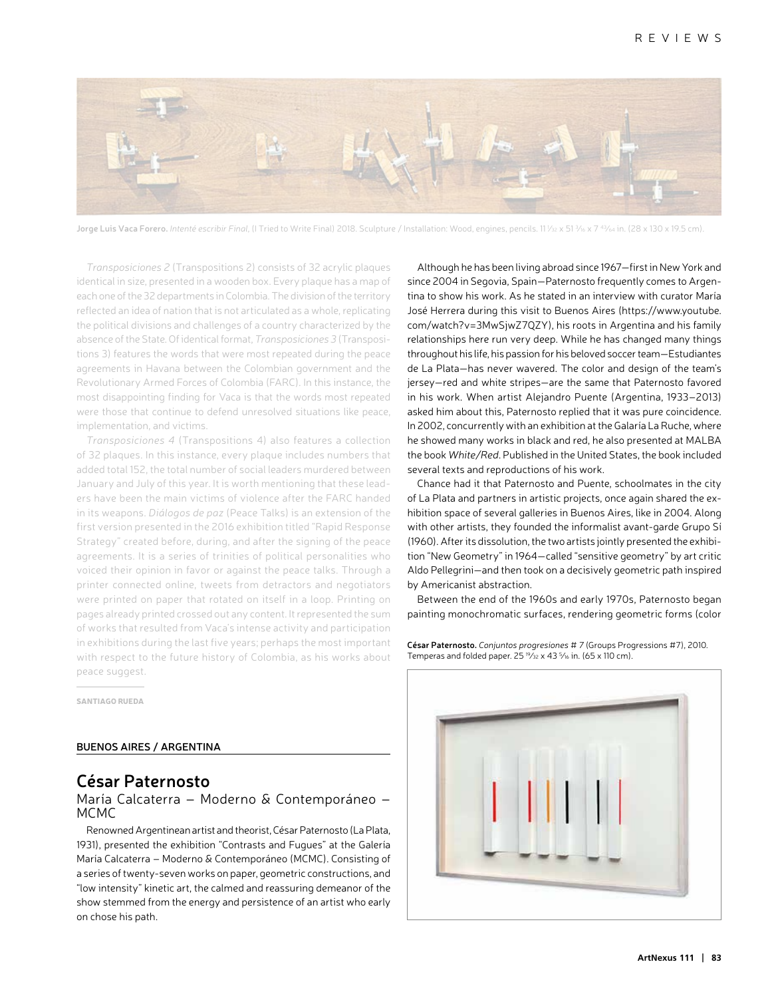

**Jorge Luis Vaca Forero.** *Intenté escribir Final*, (I Tried to Write Final) 2018. Sculpture / Installation: Wood, engines, pencils. 11 ½2 x 51 ¾ x 7 <sup>43</sup>⁄64 in. (28 x 130 x 19.5 cm).

*Transposiciones 2* (Transpositions 2) consists of 32 acrylic plaques identical in size, presented in a wooden box. Every plaque has a map of each one of the 32 departments in Colombia. The division of the territory reflected an idea of nation that is not articulated as a whole, replicating the political divisions and challenges of a country characterized by the absence of the State. Of identical format, *Transposiciones 3* (Transpositions 3) features the words that were most repeated during the peace agreements in Havana between the Colombian government and the Revolutionary Armed Forces of Colombia (FARC). In this instance, the most disappointing finding for Vaca is that the words most repeated were those that continue to defend unresolved situations like peace, implementation, and victims.

*Transposiciones 4* (Transpositions 4) also features a collection of 32 plaques. In this instance, every plaque includes numbers that added total 152, the total number of social leaders murdered between January and July of this year. It is worth mentioning that these leaders have been the main victims of violence after the FARC handed in its weapons. *Diálogos de paz* (Peace Talks) is an extension of the first version presented in the 2016 exhibition titled "Rapid Response Strategy" created before, during, and after the signing of the peace agreements. It is a series of trinities of political personalities who voiced their opinion in favor or against the peace talks. Through a printer connected online, tweets from detractors and negotiators were printed on paper that rotated on itself in a loop. Printing on pages already printed crossed out any content. It represented the sum of works that resulted from Vaca's intense activity and participation in exhibitions during the last five years; perhaps the most important with respect to the future history of Colombia, as his works about peace suggest.

SANTIAGO RUEDA

### **BUENOS AIRES / ARGENTINA**

## **César Paternosto**

### María Calcaterra – Moderno & Contemporáneo – MCMC

Renowned Argentinean artist and theorist, César Paternosto (La Plata, 1931), presented the exhibition "Contrasts and Fugues" at the Galería María Calcaterra – Moderno & Contemporáneo (MCMC). Consisting of a series of twenty-seven works on paper, geometric constructions, and "low intensity" kinetic art, the calmed and reassuring demeanor of the show stemmed from the energy and persistence of an artist who early on chose his path.

Although he has been living abroad since 1967—first in New York and since 2004 in Segovia, Spain—Paternosto frequently comes to Argentina to show his work. As he stated in an interview with curator María José Herrera during this visit to Buenos Aires (https://www.youtube. com/watch?v=3MwSjwZ7QZY), his roots in Argentina and his family relationships here run very deep. While he has changed many things throughout his life, his passion for his beloved soccer team—Estudiantes de La Plata—has never wavered. The color and design of the team's jersey—red and white stripes—are the same that Paternosto favored in his work. When artist Alejandro Puente (Argentina, 1933–2013) asked him about this, Paternosto replied that it was pure coincidence. In 2002, concurrently with an exhibition at the Galaría La Ruche, where he showed many works in black and red, he also presented at MALBA the book *White/Red*. Published in the United States, the book included several texts and reproductions of his work.

Chance had it that Paternosto and Puente, schoolmates in the city of La Plata and partners in artistic projects, once again shared the exhibition space of several galleries in Buenos Aires, like in 2004. Along with other artists, they founded the informalist avant-garde Grupo Sí (1960). After its dissolution, the two artists jointly presented the exhibition "New Geometry" in 1964—called "sensitive geometry" by art critic Aldo Pellegrini—and then took on a decisively geometric path inspired by Americanist abstraction.

Between the end of the 1960s and early 1970s, Paternosto began painting monochromatic surfaces, rendering geometric forms (color

**César Paternosto.** *Conjuntos progresiones # 7* (Groups Progressions #7), 2010. Temperas and folded paper.  $25^{19}$ /32 x 43 <sup>5</sup>/16 in. (65 x 110 cm).